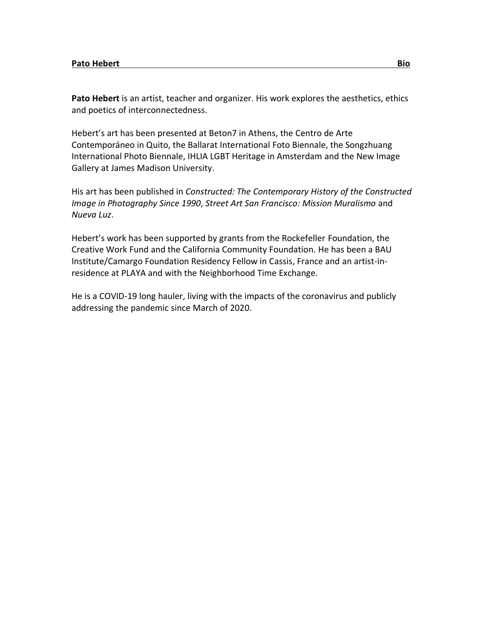**Pato Hebert** is an artist, teacher and organizer. His work explores the aesthetics, ethics and poetics of interconnectedness.

Hebert's art has been presented at Beton7 in Athens, the Centro de Arte Contemporáneo in Quito, the Ballarat International Foto Biennale, the Songzhuang International Photo Biennale, IHLIA LGBT Heritage in Amsterdam and the New Image Gallery at James Madison University.

His art has been published in *Constructed: The Contemporary History of the Constructed Image in Photography Since 1990*, *Street Art San Francisco: Mission Muralismo* and *Nueva Luz*.

Hebert's work has been supported by grants from the Rockefeller Foundation, the Creative Work Fund and the California Community Foundation. He has been a BAU Institute/Camargo Foundation Residency Fellow in Cassis, France and an artist-inresidence at PLAYA and with the Neighborhood Time Exchange.

He is a COVID-19 long hauler, living with the impacts of the coronavirus and publicly addressing the pandemic since March of 2020.